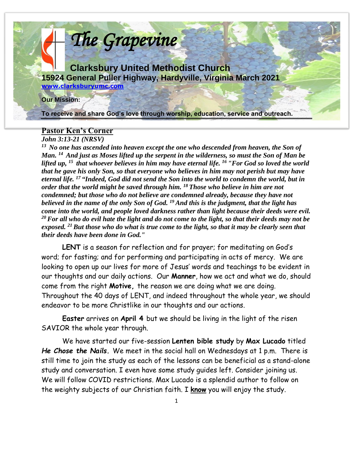

### **Pastor Ken's Corner**

*John 3:13-21 (NRSV)* 

*<sup>13</sup>No one has ascended into heaven except the one who descended from heaven, the Son of Man. <sup>14</sup>And just as Moses lifted up the serpent in the wilderness, so must the Son of Man be lifted up, <sup>15</sup>that whoever believes in him may have eternal life. <sup>16</sup>"For God so loved the world that he gave his only Son, so that everyone who believes in him may not perish but may have eternal life. <sup>17</sup>"Indeed, God did not send the Son into the world to condemn the world, but in order that the world might be saved through him. <sup>18</sup>Those who believe in him are not condemned; but those who do not believe are condemned already, because they have not believed in the name of the only Son of God. <sup>19</sup>And this is the judgment, that the light has come into the world, and people loved darkness rather than light because their deeds were evil. <sup>20</sup>For all who do evil hate the light and do not come to the light, so that their deeds may not be exposed. <sup>21</sup>But those who do what is true come to the light, so that it may be clearly seen that their deeds have been done in God."* 

**LENT** is a season for reflection and for prayer; for meditating on God's word; for fasting; and for performing and participating in acts of mercy. We are looking to open up our lives for more of Jesus' words and teachings to be evident in our thoughts and our daily actions. Our **Manner**, how we act and what we do, should come from the right **Motive,** the reason we are doing what we are doing. Throughout the 40 days of LENT, and indeed throughout the whole year, we should endeavor to be more Christlike in our thoughts and our actions.

**Easter** arrives on **April 4** but we should be living in the light of the risen SAVIOR the whole year through.

We have started our five-session **Lenten bible study** by **Max Lucado** titled *He Chose the Nails.* We meet in the social hall on Wednesdays at 1 p.m. There is still time to join the study as each of the lessons can be beneficial as a stand-alone study and conversation. I even have some study guides left. Consider joining us. We will follow COVID restrictions. Max Lucado is a splendid author to follow on the weighty subjects of our Christian faith. I **know** you will enjoy the study.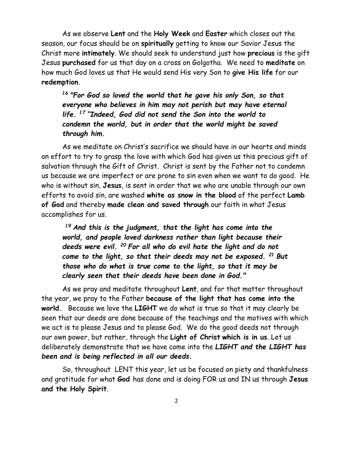As we observe **Lent** and the **Holy Week** and **Easter** which closes out the season, our focus should be on **spiritually** getting to know our Savior Jesus the Christ more **intimately**. We should seek to understand just how **precious** is the gift Jesus **purchased** for us that day on a cross on Golgotha. We need to **meditate** on how much God loves us that He would send His very Son to **give His life** for our **redemption**.

*<sup>16</sup>"For God so loved the world that he gave his only Son, so that everyone who believes in him may not perish but may have eternal life. <sup>17</sup> "Indeed, God did not send the Son into the world to condemn the world, but in order that the world might be saved through him.*

As we meditate on Christ's sacrifice we should have in our hearts and minds an effort to try to grasp the love with which God has given us this precious gift of salvation through the Gift of Christ. Christ is sent by the Father not to condemn us because we are imperfect or are prone to sin even when we want to do good. He who is without sin, **Jesus**, is sent in order that we who are unable through our own efforts to avoid sin, are washed **white as snow in the blood** of the perfect **Lamb of God** and thereby **made clean and saved through** our faith in what Jesus accomplishes for us.

*<sup>19</sup>And this is the judgment, that the light has come into the world, and people loved darkness rather than light because their deeds were evil. <sup>20</sup>For all who do evil hate the light and do not come to the light, so that their deeds may not be exposed. <sup>21</sup>But those who do what is true come to the light, so that it may be clearly seen that their deeds have been done in God."* 

As we pray and meditate throughout **Lent**, and for that matter throughout the year, we pray to the Father **because of the light that has come into the world.** Because we love the **LIGHT** we do what is true so that it may clearly be seen that our deeds are done because of the teachings and the motives with which we act is to please Jesus and to please God. We do the good deeds not through our own power, but rather, through the **Light of Christ which is in us**. Let us deliberately demonstrate that we have come into the *LIGHT and the LIGHT has been and is being reflected in all our deeds.*

So, throughout LENT this year, let us be focused on piety and thankfulness and gratitude for what **God** has done and is doing FOR us and IN us through **Jesus and the Holy Spirit**.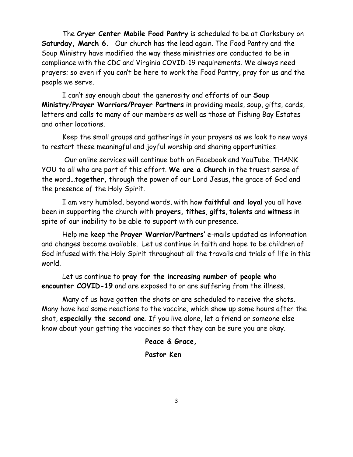The **Cryer Center Mobile Food Pantry** is scheduled to be at Clarksbury on **Saturday, March 6.** Our church has the lead again. The Food Pantry and the Soup Ministry have modified the way these ministries are conducted to be in compliance with the CDC and Virginia COVID-19 requirements. We always need prayers; so even if you can't be here to work the Food Pantry, pray for us and the people we serve.

I can't say enough about the generosity and efforts of our **Soup Ministry**/**Prayer Warriors/Prayer Partners** in providing meals, soup, gifts, cards, letters and calls to many of our members as well as those at Fishing Bay Estates and other locations.

Keep the small groups and gatherings in your prayers as we look to new ways to restart these meaningful and joyful worship and sharing opportunities.

Our online services will continue both on Facebook and YouTube. THANK YOU to all who are part of this effort. **We are a Church** in the truest sense of the word…**together,** through the power of our Lord Jesus, the grace of God and the presence of the Holy Spirit.

I am very humbled, beyond words, with how **faithful and loyal** you all have been in supporting the church with **prayers, tithes**, **gifts**, **talents** and **witness** in spite of our inability to be able to support with our presence.

Help me keep the **Prayer Warrior/Partners'** e-mails updated as information and changes become available. Let us continue in faith and hope to be children of God infused with the Holy Spirit throughout all the travails and trials of life in this world.

Let us continue to **pray for the increasing number of people who encounter COVID-19** and are exposed to or are suffering from the illness.

Many of us have gotten the shots or are scheduled to receive the shots. Many have had some reactions to the vaccine, which show up some hours after the shot, **especially the second one**. If you live alone, let a friend or someone else know about your getting the vaccines so that they can be sure you are okay.

**Peace & Grace,** 

### **Pastor Ken**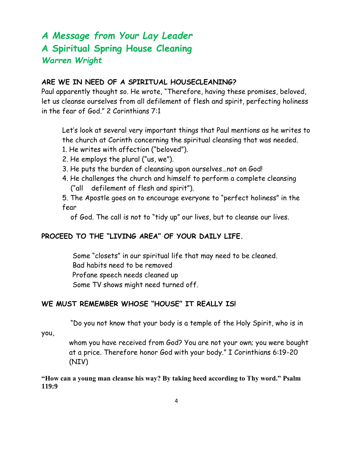## *A Message from Your Lay Leader* **A Spiritual Spring House Cleaning** *Warren Wright*

### **ARE WE IN NEED OF A SPIRITUAL HOUSECLEANING?**

Paul apparently thought so. He wrote, "Therefore, having these promises, beloved, let us cleanse ourselves from all defilement of flesh and spirit, perfecting holiness in the fear of God." 2 Corinthians 7:1

Let's look at several very important things that Paul mentions as he writes to the church at Corinth concerning the spiritual cleansing that was needed.

- 1. He writes with affection ("beloved").
- 2. He employs the plural ("us, we").
- 3. He puts the burden of cleansing upon ourselves…not on God!
- 4. He challenges the church and himself to perform a complete cleansing ("all defilement of flesh and spirit").

5. The Apostle goes on to encourage everyone to "perfect holiness" in the fear

of God. The call is not to "tidy up" our lives, but to cleanse our lives.

### **PROCEED TO THE "LIVING AREA" OF YOUR DAILY LIFE.**

 Some "closets" in our spiritual life that may need to be cleaned. Bad habits need to be removed Profane speech needs cleaned up Some TV shows might need turned off.

### **WE MUST REMEMBER WHOSE "HOUSE" IT REALLY IS!**

"Do you not know that your body is a temple of the Holy Spirit, who is in

you,

whom you have received from God? You are not your own; you were bought at a price. Therefore honor God with your body." I Corinthians 6:19-20 (NIV)

**"How can a young man cleanse his way? By taking heed according to Thy word." Psalm 119:9**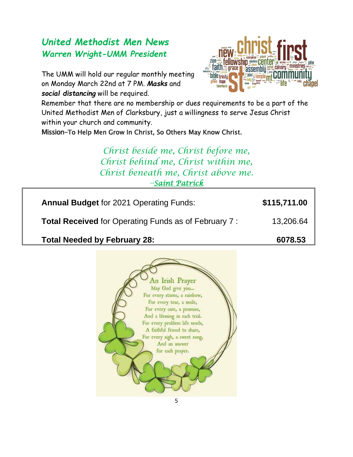### *United Methodist Men News Warren Wright-UMM President*

The UMM will hold our regular monthly meeting on Monday March 22nd at 7 PM. *Masks* and *social distancing* will be required.



Remember that there are no membership or dues requirements to be a part of the United Methodist Men of Clarksbury, just a willingness to serve Jesus Christ within your church and community.

Mission-To Help Men Grow In Christ, So Others May Know Christ.

*Christ beside me, Christ before me, Christ behind me, Christ within me, Christ beneath me, Christ above me. -[-Saint Patrick](https://www.azquotes.com/author/11389-Saint_Patrick)*

**Annual Budget** for 2021 Operating Funds: **\$115,711.00**

**Total Received** for Operating Funds as of February 7 : 13,206.64

Total Needed by February 28: **6078.53** 

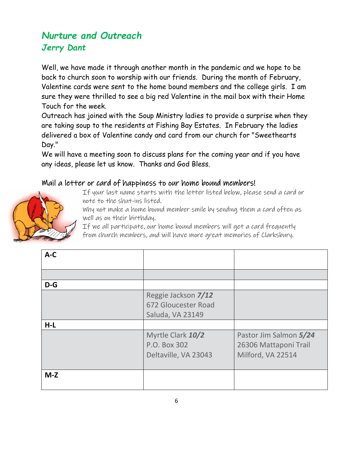## *Nurture and Outreach Jerry Dant*

Well, we have made it through another month in the pandemic and we hope to be back to church soon to worship with our friends. During the month of February, Valentine cards were sent to the home bound members and the college girls. I am sure they were thrilled to see a big red Valentine in the mail box with their Home Touch for the week.

Outreach has joined with the Soup Ministry ladies to provide a surprise when they are taking soup to the residents at Fishing Bay Estates. In February the ladies delivered a box of Valentine candy and card from our church for "Sweethearts Day."

We will have a meeting soon to discuss plans for the coming year and if you have any ideas, please let us know. Thanks and God Bless.

### Mail a letter or card of happiness to our home bound members!



If your last name starts with the letter listed below, please send a card or note to the shut-ins listed.

Why not make a home bound member smile by sending them a card often as well as on their birthday.

If we all participate, our home bound members will get a card frequently from church members, and will have more great memories of Clarksbury.

| $A-C$ |                                                                |                                                                      |
|-------|----------------------------------------------------------------|----------------------------------------------------------------------|
|       |                                                                |                                                                      |
| $D-G$ |                                                                |                                                                      |
|       | Reggie Jackson 7/12<br>672 Gloucester Road<br>Saluda, VA 23149 |                                                                      |
| $H-L$ |                                                                |                                                                      |
|       | Myrtle Clark 10/2<br>P.O. Box 302<br>Deltaville, VA 23043      | Pastor Jim Salmon 5/24<br>26306 Mattaponi Trail<br>Milford, VA 22514 |
| $M-Z$ |                                                                |                                                                      |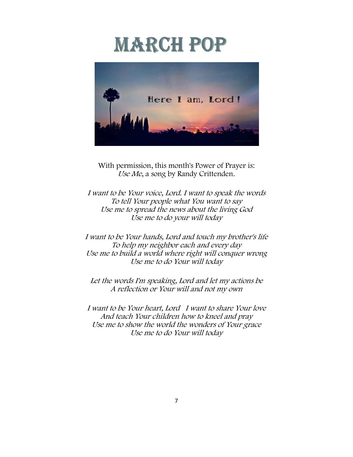# **MARCH POP**



With permission, this month's Power of Prayer is: Use Me, a song by Randy Crittenden.

I want to be Your voice, Lord. I want to speak the words To tell Your people what You want to say Use me to spread the news about the living God Use me to do your will today

I want to be Your hands, Lord and touch my brother's life To help my neighbor each and every day Use me to build a world where right will conquer wrong Use me to do Your will today

Let the words I'm speaking, Lord and let my actions be A reflection or Your will and not my own

I want to be Your heart, Lord I want to share Your love And teach Your children how to kneel and pray Use me to show the world the wonders of Your grace Use me to do Your will today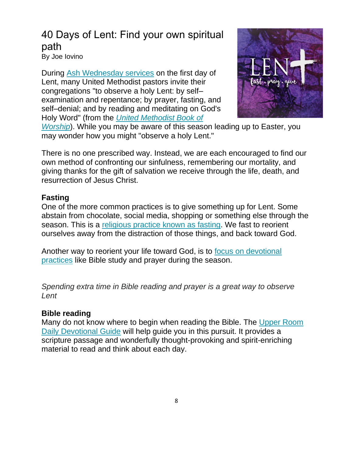# 40 Days of Lent: Find your own spiritual path

By Joe Iovino

During [Ash Wednesday services](https://www.umc.org/en/content/glossary-ash-wednesday) on the first day of Lent, many United Methodist pastors invite their congregations "to observe a holy Lent: by self– examination and repentance; by prayer, fasting, and self–denial; and by reading and meditating on God's Holy Word" (from the *[United Methodist Book of](https://www.umc.org/en/content/glossary-book-of-worship-the)* 



*[Worship](https://www.umc.org/en/content/glossary-book-of-worship-the)*). While you may be aware of this season leading up to Easter, you may wonder how you might "observe a holy Lent."

There is no one prescribed way. Instead, we are each encouraged to find our own method of confronting our sinfulness, remembering our mortality, and giving thanks for the gift of salvation we receive through the life, death, and resurrection of Jesus Christ.

### **Fasting**

One of the more common practices is to give something up for Lent. Some abstain from chocolate, social media, shopping or something else through the season. This is a [religious practice known as fasting.](https://www.umc.org/en/content/ask-the-umc-what-does-the-united-methodist-church-say-about-fasting) We fast to reorient ourselves away from the distraction of those things, and back toward God.

Another way to reorient your life toward God, is to [focus on devotional](https://www.umc.org/en/content/the-invitation-is-to-all-a-wesley-hymn-devotion-for-lent)  [practices](https://www.umc.org/en/content/the-invitation-is-to-all-a-wesley-hymn-devotion-for-lent) like Bible study and prayer during the season.

*Spending extra time in Bible reading and prayer is a great way to observe Lent*

### **Bible reading**

Many do not know where to begin when reading the Bible. The [Upper Room](http://devotional.upperroom.org/)  [Daily Devotional Guide](http://devotional.upperroom.org/) will help guide you in this pursuit. It provides a scripture passage and wonderfully thought-provoking and spirit-enriching material to read and think about each day.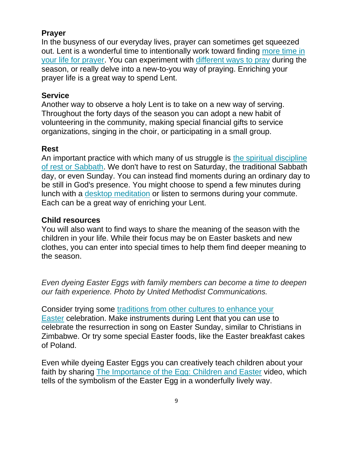### **Prayer**

In the busyness of our everyday lives, prayer can sometimes get squeezed out. Lent is a wonderful time to intentionally work toward finding [more time in](https://www.umc.org/en/content/too-busy-to-pray-find-more-time-in-the-new-year)  [your life for prayer.](https://www.umc.org/en/content/too-busy-to-pray-find-more-time-in-the-new-year) You can experiment with [different ways to pray](https://www.umc.org/en/content/re-energize-your-prayer-life-with-a-new-practice) during the season, or really delve into a new-to-you way of praying. Enriching your prayer life is a great way to spend Lent.

### **Service**

Another way to observe a holy Lent is to take on a new way of serving. Throughout the forty days of the season you can adopt a new habit of volunteering in the community, making special financial gifts to service organizations, singing in the choir, or participating in a small group.

### **Rest**

An important practice with which many of us struggle is [the spiritual discipline](https://www.umc.org/en/content/how-to-be-less-busy)  [of rest or Sabbath.](https://www.umc.org/en/content/how-to-be-less-busy) We don't have to rest on Saturday, the traditional Sabbath day, or even Sunday. You can instead find moments during an ordinary day to be still in God's presence. You might choose to spend a few minutes during lunch with a [desktop meditation](https://www.umc.org/en/content/desktop-meditation-easter-joy) or listen to sermons during your commute. Each can be a great way of enriching your Lent.

### **Child resources**

You will also want to find ways to share the meaning of the season with the children in your life. While their focus may be on Easter baskets and new clothes, you can enter into special times to help them find deeper meaning to the season.

*Even dyeing Easter Eggs with family members can become a time to deepen our faith experience. Photo by United Methodist Communications.*

Consider trying some [traditions from other cultures to enhance your](https://www.umnews.org/en/news/cultural-traditions-enhance-easter)  [Easter](https://www.umnews.org/en/news/cultural-traditions-enhance-easter) celebration. Make instruments during Lent that you can use to celebrate the resurrection in song on Easter Sunday, similar to Christians in Zimbabwe. Or try some special Easter foods, like the Easter breakfast cakes of Poland.

Even while dyeing Easter Eggs you can creatively teach children about your faith by sharing [The Importance of the Egg: Children and Easter](https://www.umc.org/en/content/the-importance-of-the-egg-children-and-easter) video, which tells of the symbolism of the Easter Egg in a wonderfully lively way.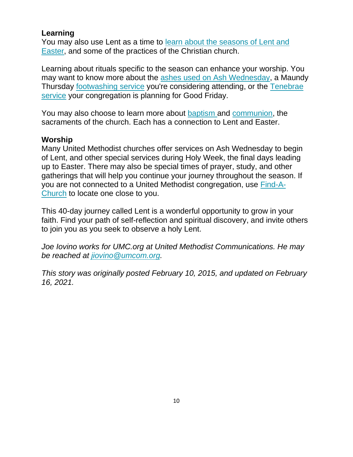### **Learning**

You may also use Lent as a time to [learn about the seasons of Lent and](https://www.umc.org/en/what-we-believe/ask-the-umc-faqs/christian-year)  [Easter,](https://www.umc.org/en/what-we-believe/ask-the-umc-faqs/christian-year) and some of the practices of the Christian church.

Learning about rituals specific to the season can enhance your worship. You may want to know more about the [ashes used on Ash Wednesday,](https://www.umc.org/en/content/why-ashes-connecting-to-who-we-are-and-who-we-can-be) a Maundy Thursday [footwashing service](https://www.umc.org/en/content/ask-the-umc-what-is-maundy-thursday) you're considering attending, or the [Tenebrae](https://www.umc.org/en/content/ask-the-umc-what-is-a-tenebrae-service)  [service](https://www.umc.org/en/content/ask-the-umc-what-is-a-tenebrae-service) your congregation is planning for Good Friday.

You may also choose to learn more about **[baptism](https://www.umc.org/en/content/renewing-waters-how-united-methodists-understand-baptism)** and [communion,](https://www.umc.org/en/content/an-open-table-how-united-methodists-understand-communion) the sacraments of the church. Each has a connection to Lent and Easter.

### **Worship**

Many United Methodist churches offer services on Ash Wednesday to begin of Lent, and other special services during Holy Week, the final days leading up to Easter. There may also be special times of prayer, study, and other gatherings that will help you continue your journey throughout the season. If you are not connected to a United Methodist congregation, use [Find-A-](https://www.umc.org/en/find-a-church)[Church](https://www.umc.org/en/find-a-church) to locate one close to you.

This 40-day journey called Lent is a wonderful opportunity to grow in your faith. Find your path of self-reflection and spiritual discovery, and invite others to join you as you seek to observe a holy Lent.

*Joe Iovino works for UMC.org at United Methodist Communications. He may be reached at [jiovino@umcom.org.](mailto:jiovino@umcom.org)*

*This story was originally posted February 10, 2015, and updated on February 16, 2021.*